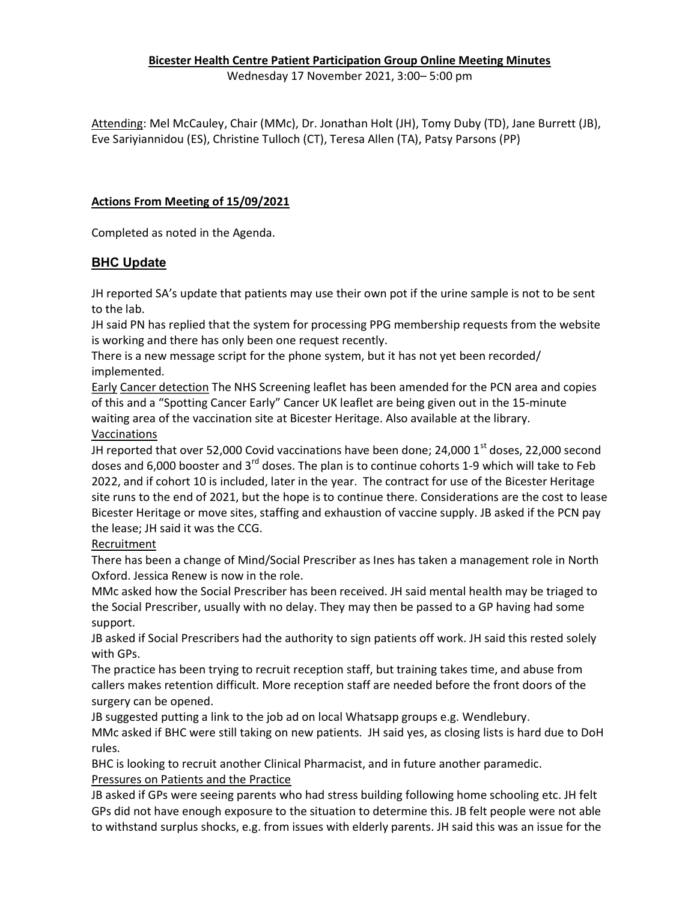## Bicester Health Centre Patient Participation Group Online Meeting Minutes

Wednesday 17 November 2021, 3:00– 5:00 pm

Attending: Mel McCauley, Chair (MMc), Dr. Jonathan Holt (JH), Tomy Duby (TD), Jane Burrett (JB), Eve Sariyiannidou (ES), Christine Tulloch (CT), Teresa Allen (TA), Patsy Parsons (PP)

## Actions From Meeting of 15/09/2021

Completed as noted in the Agenda.

## **BHC Update**

JH reported SA's update that patients may use their own pot if the urine sample is not to be sent to the lab.

JH said PN has replied that the system for processing PPG membership requests from the website is working and there has only been one request recently.

There is a new message script for the phone system, but it has not yet been recorded/ implemented.

Early Cancer detection The NHS Screening leaflet has been amended for the PCN area and copies of this and a "Spotting Cancer Early" Cancer UK leaflet are being given out in the 15-minute waiting area of the vaccination site at Bicester Heritage. Also available at the library. Vaccinations

JH reported that over 52,000 Covid vaccinations have been done; 24,000  $1<sup>st</sup>$  doses, 22,000 second doses and 6,000 booster and 3<sup>rd</sup> doses. The plan is to continue cohorts 1-9 which will take to Feb 2022, and if cohort 10 is included, later in the year. The contract for use of the Bicester Heritage site runs to the end of 2021, but the hope is to continue there. Considerations are the cost to lease Bicester Heritage or move sites, staffing and exhaustion of vaccine supply. JB asked if the PCN pay the lease; JH said it was the CCG.

Recruitment

There has been a change of Mind/Social Prescriber as Ines has taken a management role in North Oxford. Jessica Renew is now in the role.

MMc asked how the Social Prescriber has been received. JH said mental health may be triaged to the Social Prescriber, usually with no delay. They may then be passed to a GP having had some support.

JB asked if Social Prescribers had the authority to sign patients off work. JH said this rested solely with GPs.

The practice has been trying to recruit reception staff, but training takes time, and abuse from callers makes retention difficult. More reception staff are needed before the front doors of the surgery can be opened.

JB suggested putting a link to the job ad on local Whatsapp groups e.g. Wendlebury.

MMc asked if BHC were still taking on new patients. JH said yes, as closing lists is hard due to DoH rules.

BHC is looking to recruit another Clinical Pharmacist, and in future another paramedic. Pressures on Patients and the Practice

JB asked if GPs were seeing parents who had stress building following home schooling etc. JH felt GPs did not have enough exposure to the situation to determine this. JB felt people were not able to withstand surplus shocks, e.g. from issues with elderly parents. JH said this was an issue for the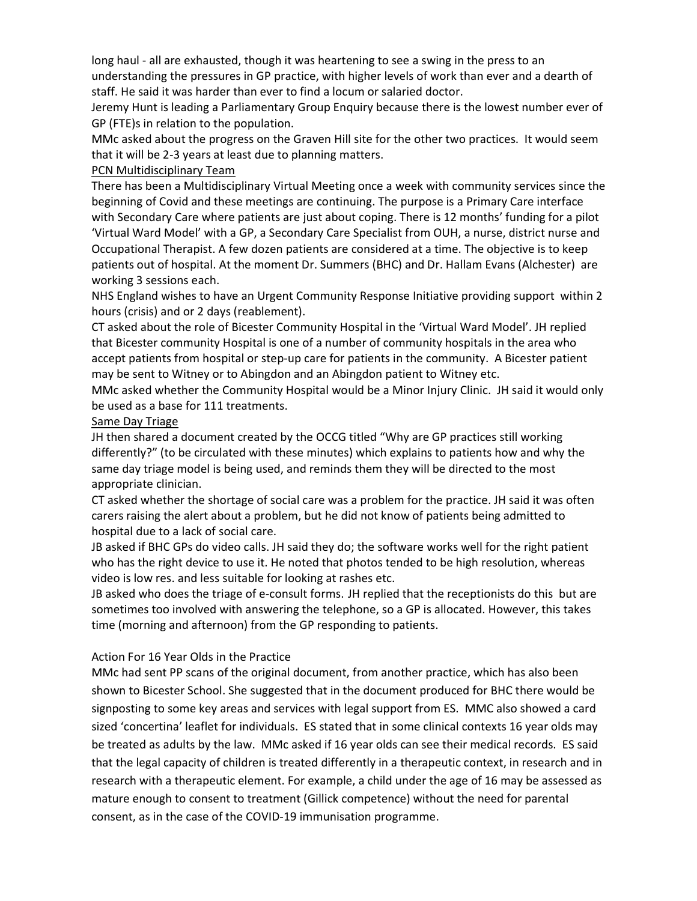long haul - all are exhausted, though it was heartening to see a swing in the press to an understanding the pressures in GP practice, with higher levels of work than ever and a dearth of staff. He said it was harder than ever to find a locum or salaried doctor.

Jeremy Hunt is leading a Parliamentary Group Enquiry because there is the lowest number ever of GP (FTE)s in relation to the population.

MMc asked about the progress on the Graven Hill site for the other two practices. It would seem that it will be 2-3 years at least due to planning matters.

#### PCN Multidisciplinary Team

There has been a Multidisciplinary Virtual Meeting once a week with community services since the beginning of Covid and these meetings are continuing. The purpose is a Primary Care interface with Secondary Care where patients are just about coping. There is 12 months' funding for a pilot 'Virtual Ward Model' with a GP, a Secondary Care Specialist from OUH, a nurse, district nurse and Occupational Therapist. A few dozen patients are considered at a time. The objective is to keep patients out of hospital. At the moment Dr. Summers (BHC) and Dr. Hallam Evans (Alchester) are working 3 sessions each.

NHS England wishes to have an Urgent Community Response Initiative providing support within 2 hours (crisis) and or 2 days (reablement).

CT asked about the role of Bicester Community Hospital in the 'Virtual Ward Model'. JH replied that Bicester community Hospital is one of a number of community hospitals in the area who accept patients from hospital or step-up care for patients in the community. A Bicester patient may be sent to Witney or to Abingdon and an Abingdon patient to Witney etc.

MMc asked whether the Community Hospital would be a Minor Injury Clinic. JH said it would only be used as a base for 111 treatments.

#### Same Day Triage

JH then shared a document created by the OCCG titled "Why are GP practices still working differently?" (to be circulated with these minutes) which explains to patients how and why the same day triage model is being used, and reminds them they will be directed to the most appropriate clinician.

CT asked whether the shortage of social care was a problem for the practice. JH said it was often carers raising the alert about a problem, but he did not know of patients being admitted to hospital due to a lack of social care.

JB asked if BHC GPs do video calls. JH said they do; the software works well for the right patient who has the right device to use it. He noted that photos tended to be high resolution, whereas video is low res. and less suitable for looking at rashes etc.

JB asked who does the triage of e-consult forms. JH replied that the receptionists do this but are sometimes too involved with answering the telephone, so a GP is allocated. However, this takes time (morning and afternoon) from the GP responding to patients.

#### Action For 16 Year Olds in the Practice

MMc had sent PP scans of the original document, from another practice, which has also been shown to Bicester School. She suggested that in the document produced for BHC there would be signposting to some key areas and services with legal support from ES. MMC also showed a card sized 'concertina' leaflet for individuals. ES stated that in some clinical contexts 16 year olds may be treated as adults by the law. MMc asked if 16 year olds can see their medical records. ES said that the legal capacity of children is treated differently in a therapeutic context, in research and in research with a therapeutic element. For example, a child under the age of 16 may be assessed as mature enough to consent to treatment (Gillick competence) without the need for parental consent, as in the case of the COVID-19 immunisation programme.